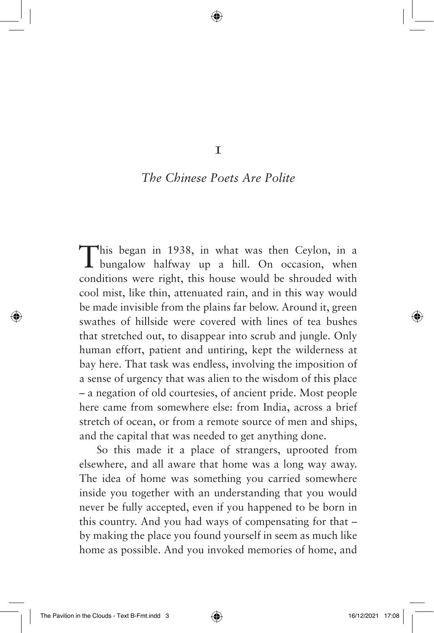1

## *The Chinese Poets Are Polite*

This began in 1938, in what was then Ceylon, in a bungalow halfway up a hill. On occasion, when conditions were right, this house would be shrouded with cool mist, like thin, attenuated rain, and in this way would be made invisible from the plains far below. Around it, green swathes of hillside were covered with lines of tea bushes that stretched out, to disappear into scrub and jungle. Only human effort, patient and untiring, kept the wilderness at bay here. That task was endless, involving the imposition of a sense of urgency that was alien to the wisdom of this place – a negation of old courtesies, of ancient pride. Most people here came from somewhere else: from India, across a brief stretch of ocean, or from a remote source of men and ships, and the capital that was needed to get anything done.

So this made it a place of strangers, uprooted from elsewhere, and all aware that home was a long way away. The idea of home was something you carried somewhere inside you together with an understanding that you would never be fully accepted, even if you happened to be born in this country. And you had ways of compensating for that – by making the place you found yourself in seem as much like home as possible. And you invoked memories of home, and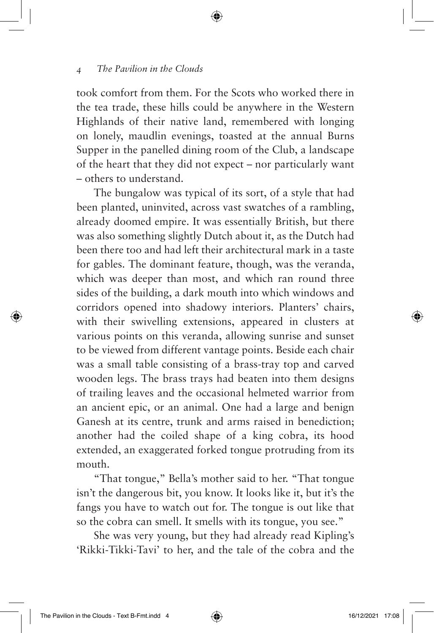took comfort from them. For the Scots who worked there in the tea trade, these hills could be anywhere in the Western Highlands of their native land, remembered with longing on lonely, maudlin evenings, toasted at the annual Burns Supper in the panelled dining room of the Club, a landscape of the heart that they did not expect – nor particularly want – others to understand.

The bungalow was typical of its sort, of a style that had been planted, uninvited, across vast swatches of a rambling, already doomed empire. It was essentially British, but there was also something slightly Dutch about it, as the Dutch had been there too and had left their architectural mark in a taste for gables. The dominant feature, though, was the veranda, which was deeper than most, and which ran round three sides of the building, a dark mouth into which windows and corridors opened into shadowy interiors. Planters' chairs, with their swivelling extensions, appeared in clusters at various points on this veranda, allowing sunrise and sunset to be viewed from different vantage points. Beside each chair was a small table consisting of a brass-tray top and carved wooden legs. The brass trays had beaten into them designs of trailing leaves and the occasional helmeted warrior from an ancient epic, or an animal. One had a large and benign Ganesh at its centre, trunk and arms raised in benediction; another had the coiled shape of a king cobra, its hood extended, an exaggerated forked tongue protruding from its mouth.

"That tongue," Bella's mother said to her. "That tongue isn't the dangerous bit, you know. It looks like it, but it's the fangs you have to watch out for. The tongue is out like that so the cobra can smell. It smells with its tongue, you see."

She was very young, but they had already read Kipling's 'Rikki-Tikki-Tavi' to her, and the tale of the cobra and the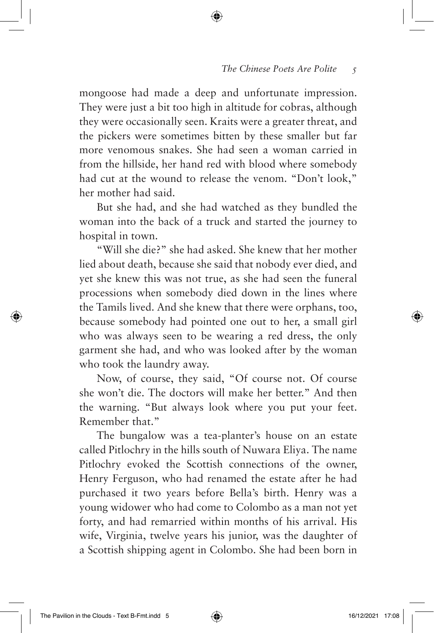mongoose had made a deep and unfortunate impression. They were just a bit too high in altitude for cobras, although they were occasionally seen. Kraits were a greater threat, and the pickers were sometimes bitten by these smaller but far more venomous snakes. She had seen a woman carried in from the hillside, her hand red with blood where somebody had cut at the wound to release the venom. "Don't look," her mother had said.

But she had, and she had watched as they bundled the woman into the back of a truck and started the journey to hospital in town.

"Will she die?" she had asked. She knew that her mother lied about death, because she said that nobody ever died, and yet she knew this was not true, as she had seen the funeral processions when somebody died down in the lines where the Tamils lived. And she knew that there were orphans, too, because somebody had pointed one out to her, a small girl who was always seen to be wearing a red dress, the only garment she had, and who was looked after by the woman who took the laundry away.

Now, of course, they said, "Of course not. Of course she won't die. The doctors will make her better." And then the warning. "But always look where you put your feet. Remember that."

The bungalow was a tea-planter's house on an estate called Pitlochry in the hills south of Nuwara Eliya. The name Pitlochry evoked the Scottish connections of the owner, Henry Ferguson, who had renamed the estate after he had purchased it two years before Bella's birth. Henry was a young widower who had come to Colombo as a man not yet forty, and had remarried within months of his arrival. His wife, Virginia, twelve years his junior, was the daughter of a Scottish shipping agent in Colombo. She had been born in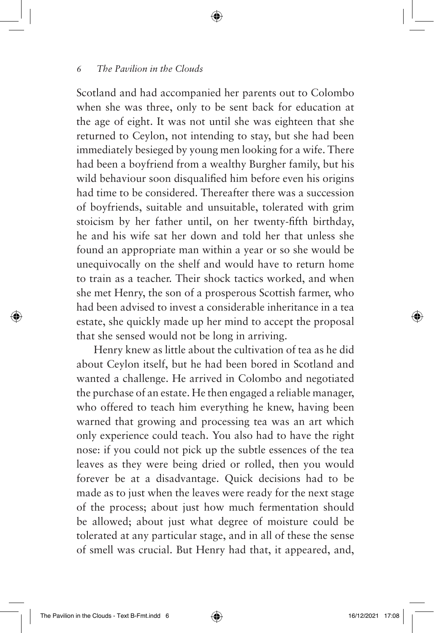Scotland and had accompanied her parents out to Colombo when she was three, only to be sent back for education at the age of eight. It was not until she was eighteen that she returned to Ceylon, not intending to stay, but she had been immediately besieged by young men looking for a wife. There had been a boyfriend from a wealthy Burgher family, but his wild behaviour soon disqualified him before even his origins had time to be considered. Thereafter there was a succession of boyfriends, suitable and unsuitable, tolerated with grim stoicism by her father until, on her twenty-fifth birthday, he and his wife sat her down and told her that unless she found an appropriate man within a year or so she would be unequivocally on the shelf and would have to return home to train as a teacher. Their shock tactics worked, and when she met Henry, the son of a prosperous Scottish farmer, who had been advised to invest a considerable inheritance in a tea estate, she quickly made up her mind to accept the proposal that she sensed would not be long in arriving.

Henry knew as little about the cultivation of tea as he did about Ceylon itself, but he had been bored in Scotland and wanted a challenge. He arrived in Colombo and negotiated the purchase of an estate. He then engaged a reliable manager, who offered to teach him everything he knew, having been warned that growing and processing tea was an art which only experience could teach. You also had to have the right nose: if you could not pick up the subtle essences of the tea leaves as they were being dried or rolled, then you would forever be at a disadvantage. Quick decisions had to be made as to just when the leaves were ready for the next stage of the process; about just how much fermentation should be allowed; about just what degree of moisture could be tolerated at any particular stage, and in all of these the sense of smell was crucial. But Henry had that, it appeared, and,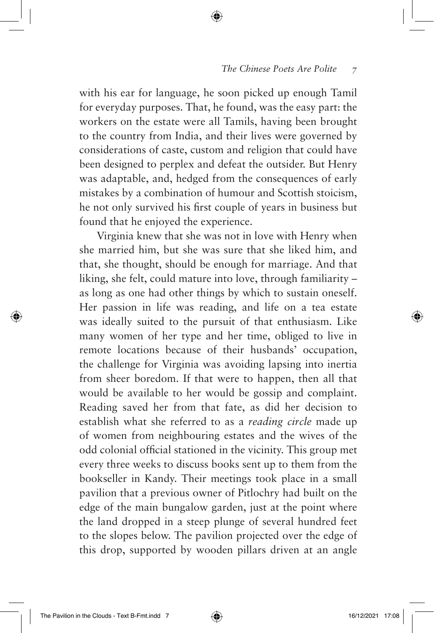with his ear for language, he soon picked up enough Tamil for everyday purposes. That, he found, was the easy part: the workers on the estate were all Tamils, having been brought to the country from India, and their lives were governed by considerations of caste, custom and religion that could have been designed to perplex and defeat the outsider. But Henry was adaptable, and, hedged from the consequences of early mistakes by a combination of humour and Scottish stoicism, he not only survived his first couple of years in business but found that he enjoyed the experience.

Virginia knew that she was not in love with Henry when she married him, but she was sure that she liked him, and that, she thought, should be enough for marriage. And that liking, she felt, could mature into love, through familiarity – as long as one had other things by which to sustain oneself. Her passion in life was reading, and life on a tea estate was ideally suited to the pursuit of that enthusiasm. Like many women of her type and her time, obliged to live in remote locations because of their husbands' occupation, the challenge for Virginia was avoiding lapsing into inertia from sheer boredom. If that were to happen, then all that would be available to her would be gossip and complaint. Reading saved her from that fate, as did her decision to establish what she referred to as a *reading circle* made up of women from neighbouring estates and the wives of the odd colonial official stationed in the vicinity. This group met every three weeks to discuss books sent up to them from the bookseller in Kandy. Their meetings took place in a small pavilion that a previous owner of Pitlochry had built on the edge of the main bungalow garden, just at the point where the land dropped in a steep plunge of several hundred feet to the slopes below. The pavilion projected over the edge of this drop, supported by wooden pillars driven at an angle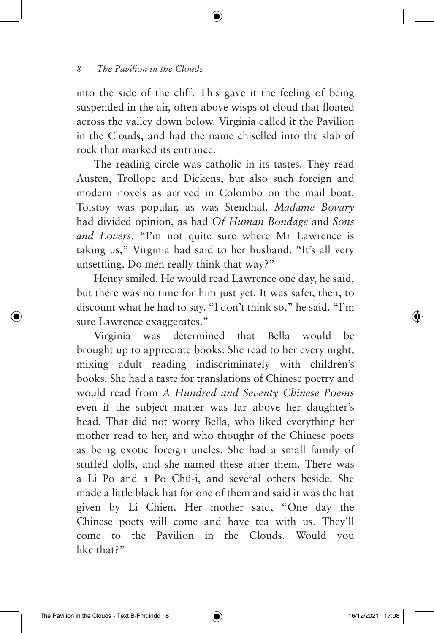into the side of the cliff. This gave it the feeling of being suspended in the air, often above wisps of cloud that floated across the valley down below. Virginia called it the Pavilion in the Clouds, and had the name chiselled into the slab of rock that marked its entrance.

The reading circle was catholic in its tastes. They read Austen, Trollope and Dickens, but also such foreign and modern novels as arrived in Colombo on the mail boat. Tolstoy was popular, as was Stendhal. *Madame Bovary*  had divided opinion, as had *Of Human Bondage* and *Sons and Lovers*. "I'm not quite sure where Mr Lawrence is taking us," Virginia had said to her husband. "It's all very unsettling. Do men really think that way?"

Henry smiled. He would read Lawrence one day, he said, but there was no time for him just yet. It was safer, then, to discount what he had to say. "I don't think so," he said. "I'm sure Lawrence exaggerates."

Virginia was determined that Bella would be brought up to appreciate books. She read to her every night, mixing adult reading indiscriminately with children's books. She had a taste for translations of Chinese poetry and would read from *A Hundred and Seventy Chinese Poems*  even if the subject matter was far above her daughter's head. That did not worry Bella, who liked everything her mother read to her, and who thought of the Chinese poets as being exotic foreign uncles. She had a small family of stuffed dolls, and she named these after them. There was a Li Po and a Po Chü-i, and several others beside. She made a little black hat for one of them and said it was the hat given by Li Chien. Her mother said, "One day the Chinese poets will come and have tea with us. They'll come to the Pavilion in the Clouds. Would you like that?"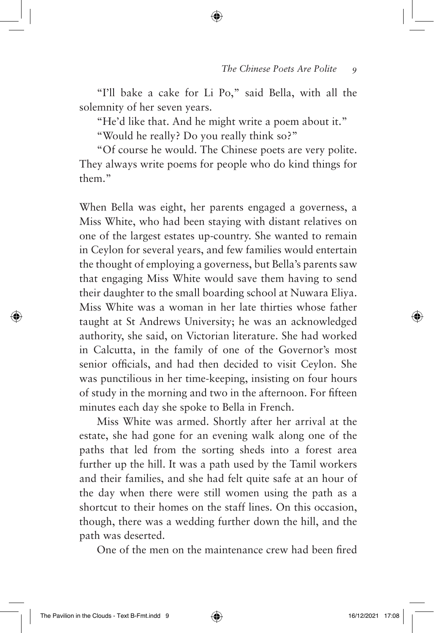"I'll bake a cake for Li Po," said Bella, with all the solemnity of her seven years.

"He'd like that. And he might write a poem about it."

"Would he really? Do you really think so?"

"Of course he would. The Chinese poets are very polite. They always write poems for people who do kind things for them"

When Bella was eight, her parents engaged a governess, a Miss White, who had been staying with distant relatives on one of the largest estates up-country. She wanted to remain in Ceylon for several years, and few families would entertain the thought of employing a governess, but Bella's parents saw that engaging Miss White would save them having to send their daughter to the small boarding school at Nuwara Eliya. Miss White was a woman in her late thirties whose father taught at St Andrews University; he was an acknowledged authority, she said, on Victorian literature. She had worked in Calcutta, in the family of one of the Governor's most senior officials, and had then decided to visit Ceylon. She was punctilious in her time-keeping, insisting on four hours of study in the morning and two in the afternoon. For fifteen minutes each day she spoke to Bella in French.

Miss White was armed. Shortly after her arrival at the estate, she had gone for an evening walk along one of the paths that led from the sorting sheds into a forest area further up the hill. It was a path used by the Tamil workers and their families, and she had felt quite safe at an hour of the day when there were still women using the path as a shortcut to their homes on the staff lines. On this occasion, though, there was a wedding further down the hill, and the path was deserted.

One of the men on the maintenance crew had been fired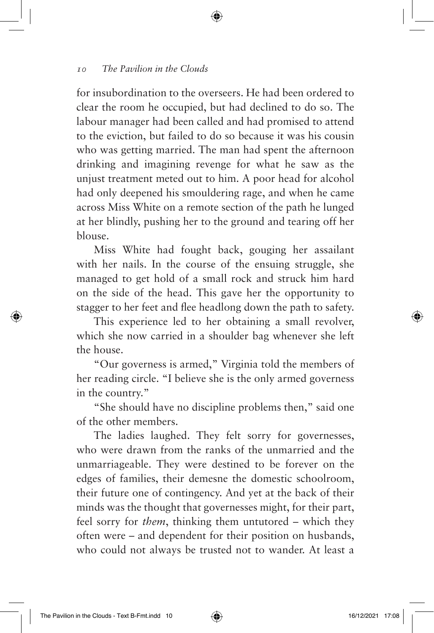for insubordination to the overseers. He had been ordered to clear the room he occupied, but had declined to do so. The labour manager had been called and had promised to attend to the eviction, but failed to do so because it was his cousin who was getting married. The man had spent the afternoon drinking and imagining revenge for what he saw as the unjust treatment meted out to him. A poor head for alcohol had only deepened his smouldering rage, and when he came across Miss White on a remote section of the path he lunged at her blindly, pushing her to the ground and tearing off her blouse.

Miss White had fought back, gouging her assailant with her nails. In the course of the ensuing struggle, she managed to get hold of a small rock and struck him hard on the side of the head. This gave her the opportunity to stagger to her feet and flee headlong down the path to safety.

This experience led to her obtaining a small revolver, which she now carried in a shoulder bag whenever she left the house.

"Our governess is armed," Virginia told the members of her reading circle. "I believe she is the only armed governess in the country."

"She should have no discipline problems then," said one of the other members.

The ladies laughed. They felt sorry for governesses, who were drawn from the ranks of the unmarried and the unmarriageable. They were destined to be forever on the edges of families, their demesne the domestic schoolroom, their future one of contingency. And yet at the back of their minds was the thought that governesses might, for their part, feel sorry for *them*, thinking them untutored – which they often were – and dependent for their position on husbands, who could not always be trusted not to wander. At least a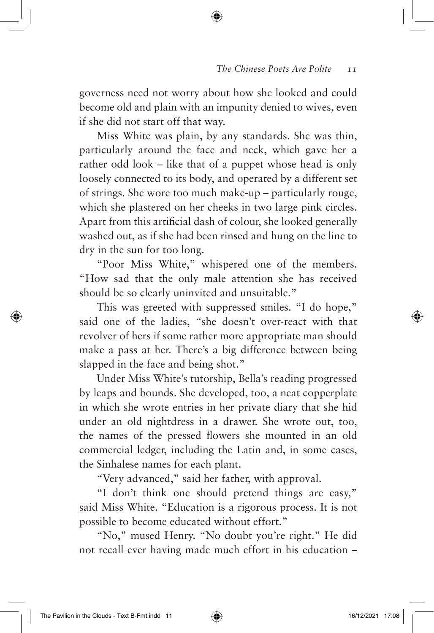governess need not worry about how she looked and could become old and plain with an impunity denied to wives, even if she did not start off that way.

Miss White was plain, by any standards. She was thin, particularly around the face and neck, which gave her a rather odd look – like that of a puppet whose head is only loosely connected to its body, and operated by a different set of strings. She wore too much make-up – particularly rouge, which she plastered on her cheeks in two large pink circles. Apart from this artificial dash of colour, she looked generally washed out, as if she had been rinsed and hung on the line to dry in the sun for too long.

"Poor Miss White," whispered one of the members. "How sad that the only male attention she has received should be so clearly uninvited and unsuitable."

This was greeted with suppressed smiles. "I do hope," said one of the ladies, "she doesn't over-react with that revolver of hers if some rather more appropriate man should make a pass at her. There's a big difference between being slapped in the face and being shot."

Under Miss White's tutorship, Bella's reading progressed by leaps and bounds. She developed, too, a neat copperplate in which she wrote entries in her private diary that she hid under an old nightdress in a drawer. She wrote out, too, the names of the pressed flowers she mounted in an old commercial ledger, including the Latin and, in some cases, the Sinhalese names for each plant.

"Very advanced," said her father, with approval.

"I don't think one should pretend things are easy," said Miss White. "Education is a rigorous process. It is not possible to become educated without effort."

"No," mused Henry. "No doubt you're right." He did not recall ever having made much effort in his education –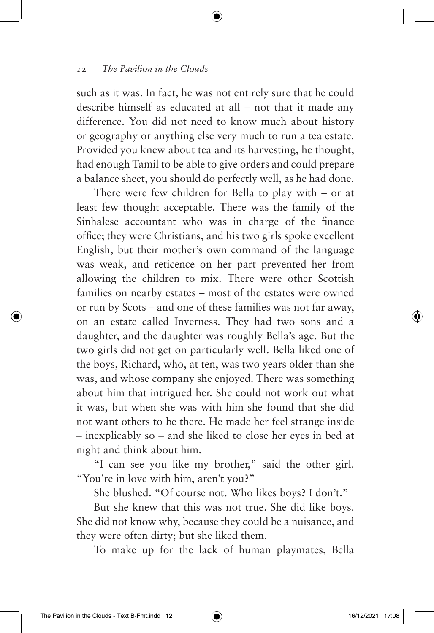such as it was. In fact, he was not entirely sure that he could describe himself as educated at all – not that it made any difference. You did not need to know much about history or geography or anything else very much to run a tea estate. Provided you knew about tea and its harvesting, he thought, had enough Tamil to be able to give orders and could prepare a balance sheet, you should do perfectly well, as he had done.

There were few children for Bella to play with – or at least few thought acceptable. There was the family of the Sinhalese accountant who was in charge of the finance office; they were Christians, and his two girls spoke excellent English, but their mother's own command of the language was weak, and reticence on her part prevented her from allowing the children to mix. There were other Scottish families on nearby estates – most of the estates were owned or run by Scots – and one of these families was not far away, on an estate called Inverness. They had two sons and a daughter, and the daughter was roughly Bella's age. But the two girls did not get on particularly well. Bella liked one of the boys, Richard, who, at ten, was two years older than she was, and whose company she enjoyed. There was something about him that intrigued her. She could not work out what it was, but when she was with him she found that she did not want others to be there. He made her feel strange inside – inexplicably so – and she liked to close her eyes in bed at night and think about him.

"I can see you like my brother," said the other girl. "You're in love with him, aren't you?"

She blushed. "Of course not. Who likes boys? I don't."

But she knew that this was not true. She did like boys. She did not know why, because they could be a nuisance, and they were often dirty; but she liked them.

To make up for the lack of human playmates, Bella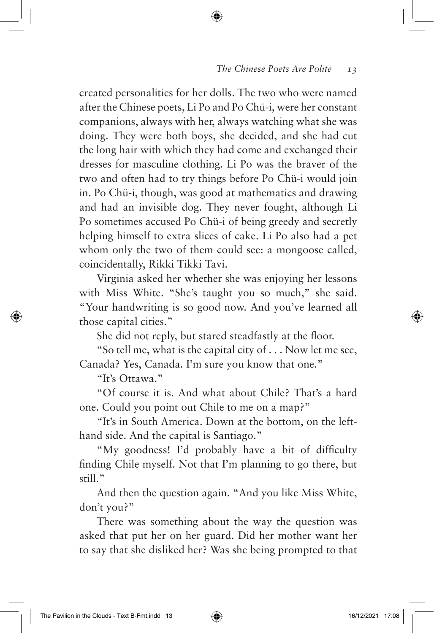created personalities for her dolls. The two who were named after the Chinese poets, Li Po and Po Chü-i, were her constant companions, always with her, always watching what she was doing. They were both boys, she decided, and she had cut the long hair with which they had come and exchanged their dresses for masculine clothing. Li Po was the braver of the two and often had to try things before Po Chü-i would join in. Po Chü-i, though, was good at mathematics and drawing and had an invisible dog. They never fought, although Li Po sometimes accused Po Chü-i of being greedy and secretly helping himself to extra slices of cake. Li Po also had a pet whom only the two of them could see: a mongoose called, coincidentally, Rikki Tikki Tavi.

Virginia asked her whether she was enjoying her lessons with Miss White. "She's taught you so much," she said. "Your handwriting is so good now. And you've learned all those capital cities."

She did not reply, but stared steadfastly at the floor.

"So tell me, what is the capital city of . . . Now let me see, Canada? Yes, Canada. I'm sure you know that one."

"It's Ottawa."

"Of course it is. And what about Chile? That's a hard one. Could you point out Chile to me on a map?"

"It's in South America. Down at the bottom, on the lefthand side. And the capital is Santiago."

"My goodness! I'd probably have a bit of difficulty finding Chile myself. Not that I'm planning to go there, but still."

And then the question again. "And you like Miss White, don't you?"

There was something about the way the question was asked that put her on her guard. Did her mother want her to say that she disliked her? Was she being prompted to that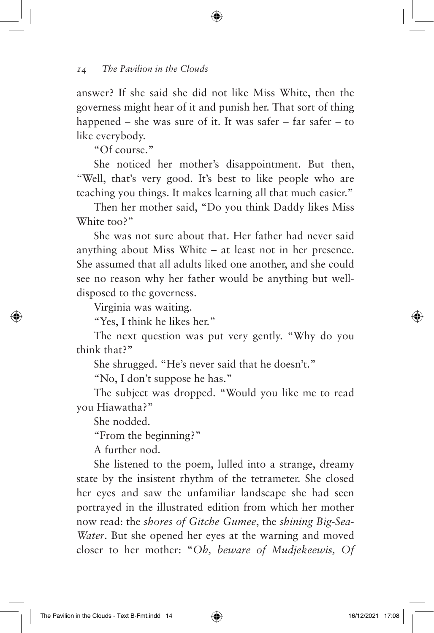answer? If she said she did not like Miss White, then the governess might hear of it and punish her. That sort of thing happened – she was sure of it. It was safer – far safer – to like everybody.

"Of course."

She noticed her mother's disappointment. But then, "Well, that's very good. It's best to like people who are teaching you things. It makes learning all that much easier."

Then her mother said, "Do you think Daddy likes Miss White too?"

She was not sure about that. Her father had never said anything about Miss White – at least not in her presence. She assumed that all adults liked one another, and she could see no reason why her father would be anything but welldisposed to the governess.

Virginia was waiting.

"Yes, I think he likes her."

The next question was put very gently. "Why do you think that?"

She shrugged. "He's never said that he doesn't."

"No, I don't suppose he has."

The subject was dropped. "Would you like me to read you Hiawatha?"

She nodded.

"From the beginning?"

A further nod.

She listened to the poem, lulled into a strange, dreamy state by the insistent rhythm of the tetrameter. She closed her eyes and saw the unfamiliar landscape she had seen portrayed in the illustrated edition from which her mother now read: the *shores of Gitche Gumee*, the *shining Big-Sea-Water*. But she opened her eyes at the warning and moved closer to her mother: "*Oh, beware of Mudjekeewis, Of*